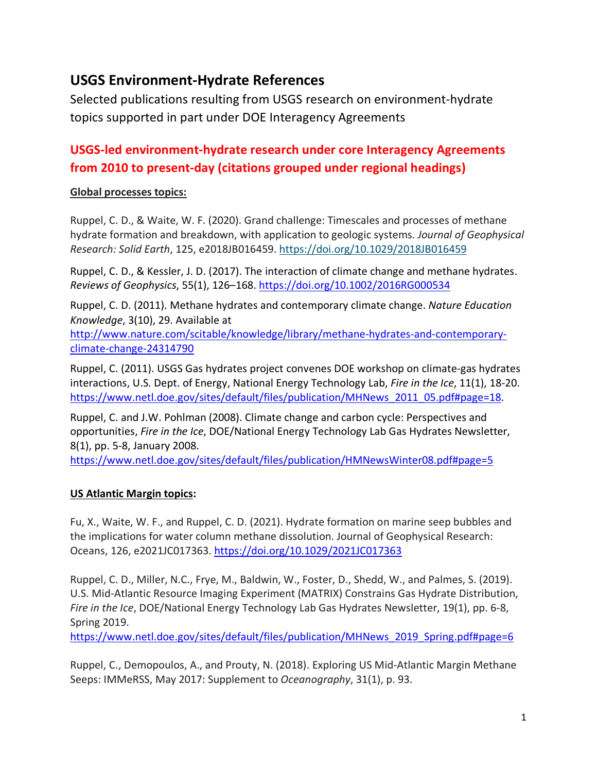# **USGS Environment-Hydrate References**

Selected publications resulting from USGS research on environment-hydrate topics supported in part under DOE Interagency Agreements

## **USGS-led environment-hydrate research under core Interagency Agreements from 2010 to present-day (citations grouped under regional headings)**

### **Global processes topics:**

Ruppel, C. D., & Waite, W. F. (2020). Grand challenge: Timescales and processes of methane hydrate formation and breakdown, with application to geologic systems. *Journal of Geophysical Research: Solid Earth*, 125, e2018JB016459. <https://doi.org/10.1029/2018JB016459>

Ruppel, C. D., & Kessler, J. D. (2017). The interaction of climate change and methane hydrates. *Reviews of Geophysics*, 55(1), 126–168.<https://doi.org/10.1002/2016RG000534>

Ruppel, C. D. (2011). Methane hydrates and contemporary climate change. *Nature Education Knowledge*, 3(10), 29. Available at

[http://www.nature.com/scitable/knowledge/library/methane-hydrates-and-contemporary](http://www.nature.com/scitable/knowledge/library/methane-hydrates-and-contemporary-climate-change-24314790)[climate-change-24314790](http://www.nature.com/scitable/knowledge/library/methane-hydrates-and-contemporary-climate-change-24314790)

Ruppel, C. (2011). USGS Gas hydrates project convenes DOE workshop on climate-gas hydrates interactions, U.S. Dept. of Energy, National Energy Technology Lab, *Fire in the Ice*, 11(1), 18-20. [https://www.netl.doe.gov/sites/default/files/publication/MHNews\\_2011\\_05.pdf#page=18.](https://www.netl.doe.gov/sites/default/files/publication/MHNews_2011_05.pdf#page=18)

Ruppel, C. and J.W. Pohlman (2008). Climate change and carbon cycle: Perspectives and opportunities, *Fire in the Ice*, DOE/National Energy Technology Lab Gas Hydrates Newsletter, 8(1), pp. 5-8, January 2008.

<https://www.netl.doe.gov/sites/default/files/publication/HMNewsWinter08.pdf#page=5>

## **US Atlantic Margin topics:**

Fu, X., Waite, W. F., and Ruppel, C. D. (2021). Hydrate formation on marine seep bubbles and the implications for water column methane dissolution. Journal of Geophysical Research: Oceans, 126, e2021JC017363. <https://doi.org/10.1029/2021JC017363>

Ruppel, C. D., Miller, N.C., Frye, M., Baldwin, W., Foster, D., Shedd, W., and Palmes, S. (2019). U.S. Mid-Atlantic Resource Imaging Experiment (MATRIX) Constrains Gas Hydrate Distribution, *Fire in the Ice*, DOE/National Energy Technology Lab Gas Hydrates Newsletter, 19(1), pp. 6-8, Spring 2019.

[https://www.netl.doe.gov/sites/default/files/publication/MHNews\\_2019\\_Spring.pdf#page=6](https://www.netl.doe.gov/sites/default/files/publication/MHNews_2019_Spring.pdf#page=6)

Ruppel, C., Demopoulos, A., and Prouty, N. (2018). Exploring US Mid-Atlantic Margin Methane Seeps: IMMeRSS, May 2017: Supplement to *Oceanography*, 31(1), p. 93.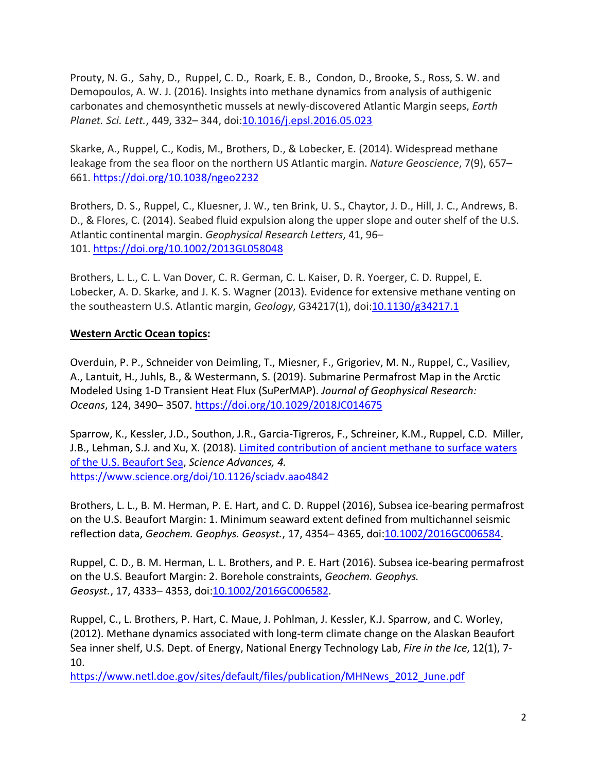Prouty, N. G., Sahy, D., Ruppel, C. D., Roark, E. B., Condon, D., Brooke, S., Ross, S. W. and Demopoulos, A. W. J. (2016). Insights into methane dynamics from analysis of authigenic carbonates and chemosynthetic mussels at newly-discovered Atlantic Margin seeps, *Earth Planet. Sci. Lett.*, 449, 332– 344, doi[:10.1016/j.epsl.2016.05.023](https://doi.org/10.1016/j.epsl.2016.05.023)

Skarke, A., Ruppel, C., Kodis, M., Brothers, D., & Lobecker, E. (2014). Widespread methane leakage from the sea floor on the northern US Atlantic margin. *Nature Geoscience*, 7(9), 657– 661. <https://doi.org/10.1038/ngeo2232>

Brothers, D. S., Ruppel, C., Kluesner, J. W., ten Brink, U. S., Chaytor, J. D., Hill, J. C., Andrews, B. D., & Flores, C. (2014). Seabed fluid expulsion along the upper slope and outer shelf of the U.S. Atlantic continental margin. *Geophysical Research Letters*, 41, 96– 101. <https://doi.org/10.1002/2013GL058048>

Brothers, L. L., C. L. Van Dover, C. R. German, C. L. Kaiser, D. R. Yoerger, C. D. Ruppel, E. Lobecker, A. D. Skarke, and J. K. S. Wagner (2013). Evidence for extensive methane venting on the southeastern U.S. Atlantic margin, *Geology*, G34217(1), doi: 10.1130/g34217.1

#### **Western Arctic Ocean topics:**

Overduin, P. P., Schneider von Deimling, T., Miesner, F., Grigoriev, M. N., Ruppel, C., Vasiliev, A., Lantuit, H., Juhls, B., & Westermann, S. (2019). Submarine Permafrost Map in the Arctic Modeled Using 1-D Transient Heat Flux (SuPerMAP). *Journal of Geophysical Research: Oceans*, 124, 3490– 3507. <https://doi.org/10.1029/2018JC014675>

Sparrow, K., Kessler, J.D., Southon, J.R., Garcia-Tigreros, F., Schreiner, K.M., Ruppel, C.D. Miller, J.B., Lehman, S.J. and Xu, X. (2018). Limited [contribution](http://advances.sciencemag.org/content/4/1/eaao4842) of ancient methane to surface waters of the U.S. [Beaufort](http://advances.sciencemag.org/content/4/1/eaao4842) Sea, *Science Advances, 4.* <https://www.science.org/doi/10.1126/sciadv.aao4842>

Brothers, L. L., B. M. Herman, P. E. Hart, and C. D. Ruppel (2016), Subsea ice-bearing permafrost on the U.S. Beaufort Margin: 1. Minimum seaward extent defined from multichannel seismic reflection data, *Geochem. Geophys. Geosyst.*, 17, 4354– 4365, doi[:10.1002/2016GC006584.](https://doi.org/10.1002/2016GC006584)

Ruppel, C. D., B. M. Herman, L. L. Brothers, and P. E. Hart (2016). Subsea ice-bearing permafrost on the U.S. Beaufort Margin: 2. Borehole constraints, *Geochem. Geophys. Geosyst.*, 17, 4333– 4353, doi[:10.1002/2016GC006582.](https://doi.org/10.1002/2016GC006582)

Ruppel, C., L. Brothers, P. Hart, C. Maue, J. Pohlman, J. Kessler, K.J. Sparrow, and C. Worley, (2012). Methane dynamics associated with long-term climate change on the Alaskan Beaufort Sea inner shelf, U.S. Dept. of Energy, National Energy Technology Lab, *Fire in the Ice*, 12(1), 7- 10.

[https://www.netl.doe.gov/sites/default/files/publication/MHNews\\_2012\\_June.pdf](https://www.netl.doe.gov/sites/default/files/publication/MHNews_2012_June.pdf)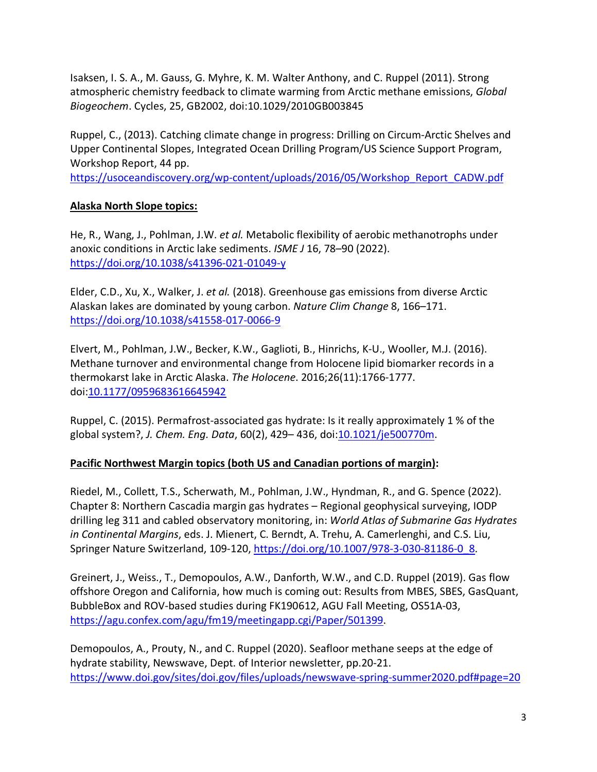Isaksen, I. S. A., M. Gauss, G. Myhre, K. M. Walter Anthony, and C. Ruppel (2011). Strong atmospheric chemistry feedback to climate warming from Arctic methane emissions, *Global Biogeochem*. Cycles, 25, GB2002, doi:10.1029/2010GB003845

Ruppel, C., (2013). Catching climate change in progress: Drilling on Circum-Arctic Shelves and Upper Continental Slopes, Integrated Ocean Drilling Program/US Science Support Program, Workshop Report, 44 pp.

[https://usoceandiscovery.org/wp-content/uploads/2016/05/Workshop\\_Report\\_CADW.pdf](https://usoceandiscovery.org/wp-content/uploads/2016/05/Workshop_Report_CADW.pdf)

## **Alaska North Slope topics:**

He, R., Wang, J., Pohlman, J.W. *et al.* Metabolic flexibility of aerobic methanotrophs under anoxic conditions in Arctic lake sediments. *ISME J* 16, 78–90 (2022). <https://doi.org/10.1038/s41396-021-01049-y>

Elder, C.D., Xu, X., Walker, J. *et al.* (2018). Greenhouse gas emissions from diverse Arctic Alaskan lakes are dominated by young carbon. *Nature Clim Change* 8, 166–171. <https://doi.org/10.1038/s41558-017-0066-9>

Elvert, M., Pohlman, J.W., Becker, K.W., Gaglioti, B., Hinrichs, K-U., Wooller, M.J. (2016). Methane turnover and environmental change from Holocene lipid biomarker records in a thermokarst lake in Arctic Alaska. *The Holocene*. 2016;26(11):1766-1777. doi[:10.1177/0959683616645942](https://doi.org/10.1177/0959683616645942)

Ruppel, C. (2015). Permafrost-associated gas hydrate: Is it really approximately 1 % of the global system?, *J. Chem. Eng. Data*, 60(2), 429– 436, doi[:10.1021/je500770m.](https://doi.org/10.1021/je500770m)

## **Pacific Northwest Margin topics (both US and Canadian portions of margin):**

Riedel, M., Collett, T.S., Scherwath, M., Pohlman, J.W., Hyndman, R., and G. Spence (2022). Chapter 8: Northern Cascadia margin gas hydrates – Regional geophysical surveying, IODP drilling leg 311 and cabled observatory monitoring, in: *World Atlas of Submarine Gas Hydrates in Continental Margins*, eds. J. Mienert, C. Berndt, A. Trehu, A. Camerlenghi, and C.S. Liu, Springer Nature Switzerland, 109-120, [https://doi.org/10.1007/978-3-030-81186-0\\_8.](https://doi.org/10.1007/978-3-030-81186-0_8)

Greinert, J., Weiss., T., Demopoulos, A.W., Danforth, W.W., and C.D. Ruppel (2019). Gas flow offshore Oregon and California, how much is coming out: Results from MBES, SBES, GasQuant, BubbleBox and ROV-based studies during FK190612, AGU Fall Meeting, OS51A-03, [https://agu.confex.com/agu/fm19/meetingapp.cgi/Paper/501399.](https://agu.confex.com/agu/fm19/meetingapp.cgi/Paper/501399)

Demopoulos, A., Prouty, N., and C. Ruppel (2020). Seafloor methane seeps at the edge of hydrate stability, Newswave, Dept. of Interior newsletter, pp.20-21. <https://www.doi.gov/sites/doi.gov/files/uploads/newswave-spring-summer2020.pdf#page=20>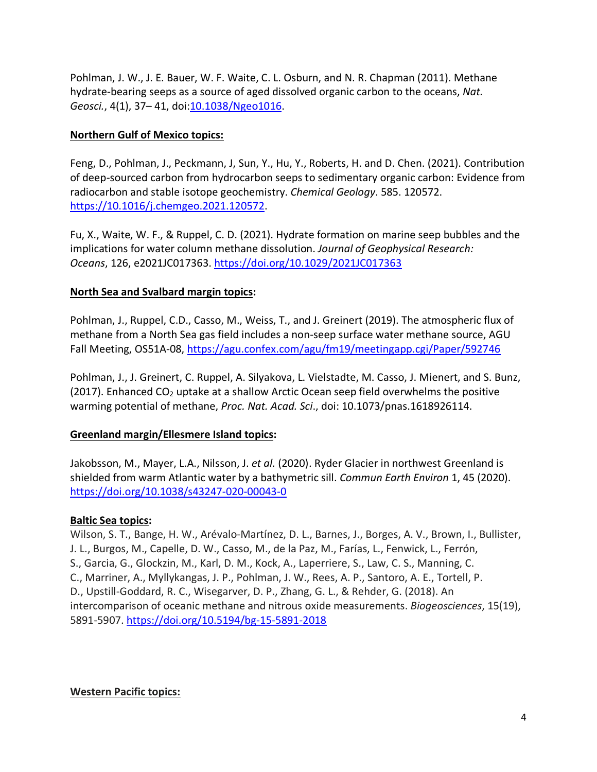Pohlman, J. W., J. E. Bauer, W. F. Waite, C. L. Osburn, and N. R. Chapman (2011). Methane hydrate-bearing seeps as a source of aged dissolved organic carbon to the oceans, *Nat. Geosci.*, 4(1), 37– 41, doi[:10.1038/Ngeo1016.](https://doi.org/10.1038/Ngeo1016)

#### **Northern Gulf of Mexico topics:**

Feng, D., Pohlman, J., Peckmann, J, Sun, Y., Hu, Y., Roberts, H. and D. Chen. (2021). Contribution of deep-sourced carbon from hydrocarbon seeps to sedimentary organic carbon: Evidence from radiocarbon and stable isotope geochemistry. *Chemical Geology*. 585. 120572. [https://10.1016/j.chemgeo.2021.120572.](https://10.0.3.248/j.chemgeo.2021.120572)

Fu, X., Waite, W. F., & Ruppel, C. D. (2021). Hydrate formation on marine seep bubbles and the implications for water column methane dissolution. *Journal of Geophysical Research: Oceans*, 126, e2021JC017363. <https://doi.org/10.1029/2021JC017363>

#### **North Sea and Svalbard margin topics:**

Pohlman, J., Ruppel, C.D., Casso, M., Weiss, T., and J. Greinert (2019). The atmospheric flux of methane from a North Sea gas field includes a non-seep surface water methane source, AGU Fall Meeting, OS51A-08, <https://agu.confex.com/agu/fm19/meetingapp.cgi/Paper/592746>

Pohlman, J., J. Greinert, C. Ruppel, A. Silyakova, L. Vielstadte, M. Casso, J. Mienert, and S. Bunz, (2017). Enhanced  $CO<sub>2</sub>$  uptake at a shallow Arctic Ocean seep field overwhelms the positive warming potential of methane, *Proc. Nat. Acad. Sci*., doi: 10.1073/pnas.1618926114.

#### **Greenland margin/Ellesmere Island topics:**

Jakobsson, M., Mayer, L.A., Nilsson, J. *et al.* (2020). Ryder Glacier in northwest Greenland is shielded from warm Atlantic water by a bathymetric sill. *Commun Earth Environ* 1, 45 (2020). <https://doi.org/10.1038/s43247-020-00043-0>

#### **Baltic Sea topics:**

Wilson, S. T., Bange, H. W., Arévalo-Martínez, D. L., Barnes, J., Borges, A. V., Brown, I., Bullister, J. L., Burgos, M., Capelle, D. W., Casso, M., de la Paz, M., Farías, L., Fenwick, L., Ferrón, S., Garcia, G., Glockzin, M., Karl, D. M., Kock, A., Laperriere, S., Law, C. S., Manning, C. C., Marriner, A., Myllykangas, J. P., Pohlman, J. W., Rees, A. P., Santoro, A. E., Tortell, P. D., Upstill-Goddard, R. C., Wisegarver, D. P., Zhang, G. L., & Rehder, G. (2018). An intercomparison of oceanic methane and nitrous oxide measurements. *Biogeosciences*, 15(19), 5891-5907. <https://doi.org/10.5194/bg-15-5891-2018>

#### **Western Pacific topics:**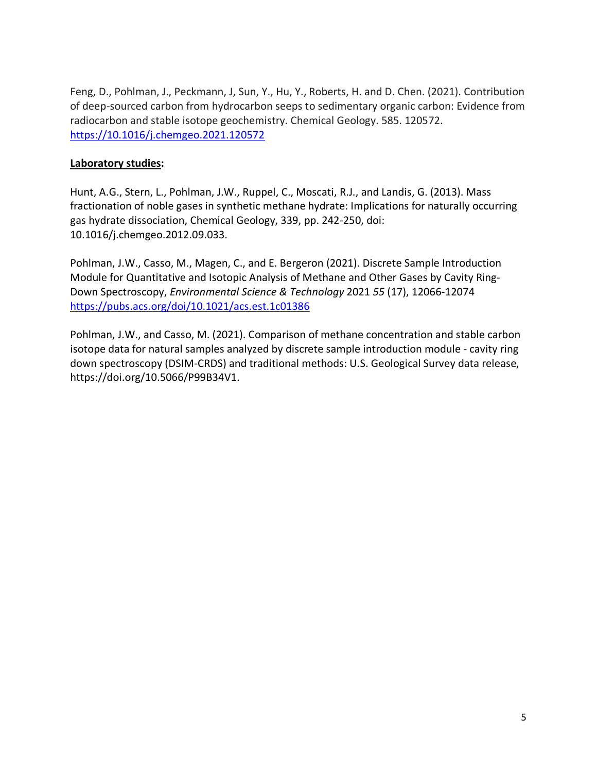Feng, D., Pohlman, J., Peckmann, J, Sun, Y., Hu, Y., Roberts, H. and D. Chen. (2021). Contribution of deep-sourced carbon from hydrocarbon seeps to sedimentary organic carbon: Evidence from radiocarbon and stable isotope geochemistry. Chemical Geology. 585. 120572. [https://10.1016/j.chemgeo.2021.120572](https://10.0.3.248/j.chemgeo.2021.120572)

#### **Laboratory studies:**

Hunt, A.G., Stern, L., Pohlman, J.W., Ruppel, C., Moscati, R.J., and Landis, G. (2013). Mass fractionation of noble gases in synthetic methane hydrate: Implications for naturally occurring gas hydrate dissociation, Chemical Geology, 339, pp. 242-250, doi: 10.1016/j.chemgeo.2012.09.033.

Pohlman, J.W., Casso, M., Magen, C., and E. Bergeron (2021). Discrete Sample Introduction Module for Quantitative and Isotopic Analysis of Methane and Other Gases by Cavity Ring-Down Spectroscopy, *Environmental Science & Technology* 2021 *55* (17), 12066-12074 <https://pubs.acs.org/doi/10.1021/acs.est.1c01386>

Pohlman, J.W., and Casso, M. (2021). Comparison of methane concentration and stable carbon isotope data for natural samples analyzed by discrete sample introduction module - cavity ring down spectroscopy (DSIM-CRDS) and traditional methods: U.S. Geological Survey data release, https://doi.org/10.5066/P99B34V1.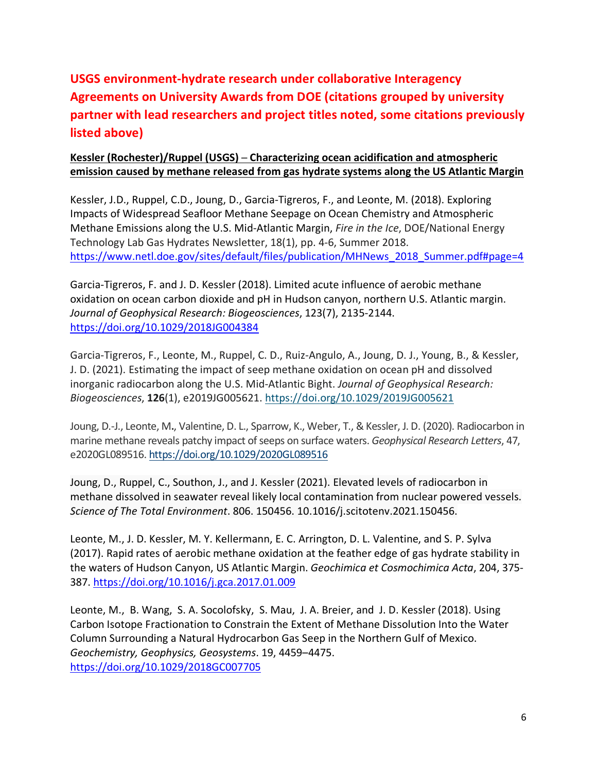# **USGS environment-hydrate research under collaborative Interagency Agreements on University Awards from DOE (citations grouped by university partner with lead researchers and project titles noted, some citations previously listed above)**

## **Kessler (Rochester)/Ruppel (USGS) ─ Characterizing ocean acidification and atmospheric emission caused by methane released from gas hydrate systems along the US Atlantic Margin**

Kessler, J.D., Ruppel, C.D., Joung, D., Garcia-Tigreros, F., and Leonte, M. (2018). Exploring Impacts of Widespread Seafloor Methane Seepage on Ocean Chemistry and Atmospheric Methane Emissions along the U.S. Mid-Atlantic Margin, *Fire in the Ice*, DOE/National Energy Technology Lab Gas Hydrates Newsletter, 18(1), pp. 4-6, Summer 2018. [https://www.netl.doe.gov/sites/default/files/publication/MHNews\\_2018\\_Summer.pdf#page=4](https://www.netl.doe.gov/sites/default/files/publication/MHNews_2018_Summer.pdf#page=4)

Garcia-Tigreros, F. and J. D. Kessler (2018). Limited acute influence of aerobic methane oxidation on ocean carbon dioxide and pH in Hudson canyon, northern U.S. Atlantic margin. *Journal of Geophysical Research: Biogeosciences*, 123(7), 2135-2144. <https://doi.org/10.1029/2018JG004384>

Garcia-Tigreros, F., Leonte, M., Ruppel, C. D., Ruiz-Angulo, A., Joung, D. J., Young, B., & Kessler, J. D. (2021). Estimating the impact of seep methane oxidation on ocean pH and dissolved inorganic radiocarbon along the U.S. Mid-Atlantic Bight. *Journal of Geophysical Research: Biogeosciences*, **126**(1), e2019JG005621. <https://doi.org/10.1029/2019JG005621>

Joung, D.-J., Leonte, M**.**, Valentine, D. L., Sparrow, K., Weber, T., & Kessler, J. D. (2020). Radiocarbon in marine methane reveals patchy impact of seeps on surface waters. *Geophysical Research Letters*, 47, e2020GL089516. <https://doi.org/10.1029/2020GL089516>

Joung, D., Ruppel, C., Southon, J., and J. Kessler (2021). Elevated levels of radiocarbon in methane dissolved in seawater reveal likely local contamination from nuclear powered vessels. *Science of The Total Environment*. 806. 150456. 10.1016/j.scitotenv.2021.150456.

Leonte, M., J. D. Kessler, M. Y. Kellermann, E. C. Arrington, D. L. Valentine, and S. P. Sylva (2017). Rapid rates of aerobic methane oxidation at the feather edge of gas hydrate stability in the waters of Hudson Canyon, US Atlantic Margin. *Geochimica et Cosmochimica Acta*, 204, 375- 387.<https://doi.org/10.1016/j.gca.2017.01.009>

Leonte, M., B. Wang, S. A. Socolofsky, S. Mau, J. A. Breier, and J. D. Kessler (2018). Using Carbon Isotope Fractionation to Constrain the Extent of Methane Dissolution Into the Water Column Surrounding a Natural Hydrocarbon Gas Seep in the Northern Gulf of Mexico. *Geochemistry, Geophysics, Geosystems*. 19, 4459–4475. <https://doi.org/10.1029/2018GC007705>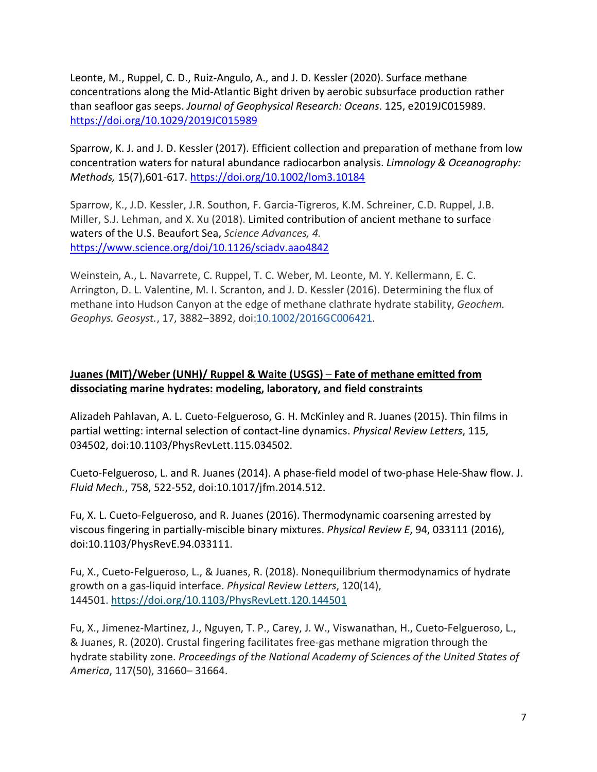Leonte, M., Ruppel, C. D., Ruiz-Angulo, A., and J. D. Kessler (2020). Surface methane concentrations along the Mid-Atlantic Bight driven by aerobic subsurface production rather than seafloor gas seeps. *Journal of Geophysical Research: Oceans*. 125, e2019JC015989. <https://doi.org/10.1029/2019JC015989>

Sparrow, K. J. and J. D. Kessler (2017). Efficient collection and preparation of methane from low concentration waters for natural abundance radiocarbon analysis. *Limnology & Oceanography: Methods,* 15(7),601-617.<https://doi.org/10.1002/lom3.10184>

Sparrow, K., J.D. Kessler, J.R. Southon, F. Garcia-Tigreros, K.M. Schreiner, C.D. Ruppel, J.B. Miller, S.J. Lehman, and X. Xu (2018). [Limited contribution of ancient methane to surface](http://advances.sciencemag.org/content/4/1/eaao4842)  [waters of the U.S. Beaufort Sea,](http://advances.sciencemag.org/content/4/1/eaao4842) *Science Advances, 4.* <https://www.science.org/doi/10.1126/sciadv.aao4842>

Weinstein, A., L. Navarrete, C. Ruppel, T. C. Weber, M. Leonte, M. Y. Kellermann, E. C. Arrington, D. L. Valentine, M. I. Scranton, and J. D. Kessler (2016). Determining the flux of methane into Hudson Canyon at the edge of methane clathrate hydrate stability, *Geochem. Geophys. Geosyst.*, 17, 3882–3892, doi[:10.1002/2016GC006421.](http://dx.doi.org/10.1002/2016GC006421) 

#### **Juanes (MIT)/Weber (UNH)/ Ruppel & Waite (USGS) ─ Fate of methane emitted from dissociating marine hydrates: modeling, laboratory, and field constraints**

Alizadeh Pahlavan, A. L. Cueto-Felgueroso, G. H. McKinley and R. Juanes (2015). Thin films in partial wetting: internal selection of contact-line dynamics. *Physical Review Letters*, 115, 034502, doi:10.1103/PhysRevLett.115.034502.

Cueto-Felgueroso, L. and R. Juanes (2014). A phase-field model of two-phase Hele-Shaw flow. J. *Fluid Mech.*, 758, 522-552, doi:10.1017/jfm.2014.512.

Fu, X. L. Cueto-Felgueroso, and R. Juanes (2016). Thermodynamic coarsening arrested by viscous fingering in partially-miscible binary mixtures. *Physical Review E*, 94, 033111 (2016), doi:10.1103/PhysRevE.94.033111.

Fu, X., Cueto-Felgueroso, L., & Juanes, R. (2018). Nonequilibrium thermodynamics of hydrate growth on a gas-liquid interface. *Physical Review Letters*, 120(14), 144501. <https://doi.org/10.1103/PhysRevLett.120.144501>

Fu, X., Jimenez-Martinez, J., Nguyen, T. P., Carey, J. W., Viswanathan, H., Cueto-Felgueroso, L., & Juanes, R. (2020). Crustal fingering facilitates free-gas methane migration through the hydrate stability zone. *Proceedings of the National Academy of Sciences of the United States of America*, 117(50), 31660– 31664.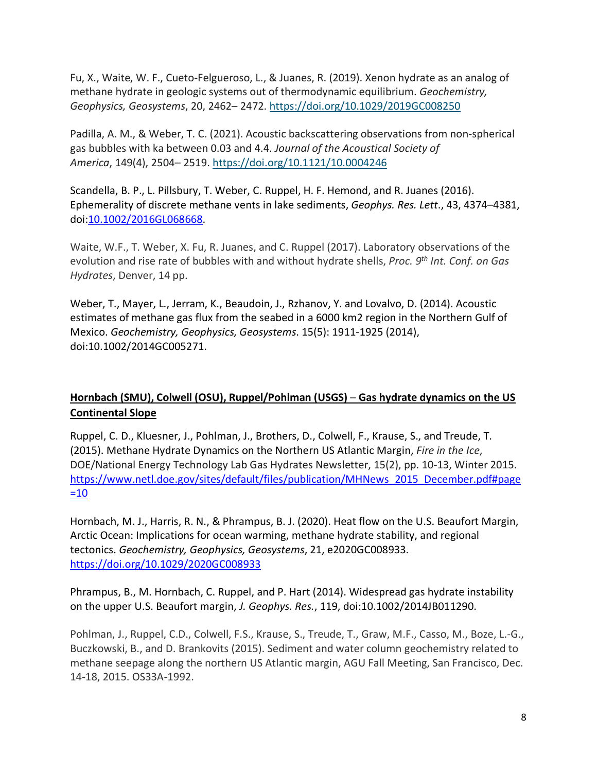Fu, X., Waite, W. F., Cueto-Felgueroso, L., & Juanes, R. (2019). Xenon hydrate as an analog of methane hydrate in geologic systems out of thermodynamic equilibrium. *Geochemistry, Geophysics, Geosystems*, 20, 2462– 2472. <https://doi.org/10.1029/2019GC008250>

Padilla, A. M., & Weber, T. C. (2021). Acoustic backscattering observations from non-spherical gas bubbles with ka between 0.03 and 4.4. *Journal of the Acoustical Society of America*, 149(4), 2504– 2519. <https://doi.org/10.1121/10.0004246>

Scandella, B. P., L. Pillsbury, T. Weber, C. Ruppel, H. F. Hemond, and R. Juanes (2016). Ephemerality of discrete methane vents in lake sediments, *Geophys. Res. Lett*., 43, 4374–4381, doi[:10.1002/2016GL068668.](http://dx.doi.org/10.1002/2016GL068668)

Waite, W.F., T. Weber, X. Fu, R. Juanes, and C. Ruppel (2017). Laboratory observations of the evolution and rise rate of bubbles with and without hydrate shells, *Proc. 9th Int. Conf. on Gas Hydrates*, Denver, 14 pp.

Weber, T., Mayer, L., Jerram, K., Beaudoin, J., Rzhanov, Y. and Lovalvo, D. (2014). Acoustic estimates of methane gas flux from the seabed in a 6000 km2 region in the Northern Gulf of Mexico. *Geochemistry, Geophysics, Geosystems*. 15(5): 1911-1925 (2014), doi:10.1002/2014GC005271.

## **Hornbach (SMU), Colwell (OSU), Ruppel/Pohlman (USGS) ─ Gas hydrate dynamics on the US Continental Slope**

Ruppel, C. D., Kluesner, J., Pohlman, J., Brothers, D., Colwell, F., Krause, S., and Treude, T. (2015). Methane Hydrate Dynamics on the Northern US Atlantic Margin, *Fire in the Ice*, DOE/National Energy Technology Lab Gas Hydrates Newsletter, 15(2), pp. 10-13, Winter 2015. [https://www.netl.doe.gov/sites/default/files/publication/MHNews\\_2015\\_December.pdf#page](https://www.netl.doe.gov/sites/default/files/publication/MHNews_2015_December.pdf#page=10)  $=10$ 

Hornbach, M. J., Harris, R. N., & Phrampus, B. J. (2020). Heat flow on the U.S. Beaufort Margin, Arctic Ocean: Implications for ocean warming, methane hydrate stability, and regional tectonics. *Geochemistry, Geophysics, Geosystems*, 21, e2020GC008933. <https://doi.org/10.1029/2020GC008933>

Phrampus, B., M. Hornbach, C. Ruppel, and P. Hart (2014). Widespread gas hydrate instability on the upper U.S. Beaufort margin, *J. Geophys. Res.*, 119, doi:10.1002/2014JB011290.

Pohlman, J., Ruppel, C.D., Colwell, F.S., Krause, S., Treude, T., Graw, M.F., Casso, M., Boze, L.-G., Buczkowski, B., and D. Brankovits (2015). Sediment and water column geochemistry related to methane seepage along the northern US Atlantic margin, AGU Fall Meeting, San Francisco, Dec. 14-18, 2015. OS33A-1992.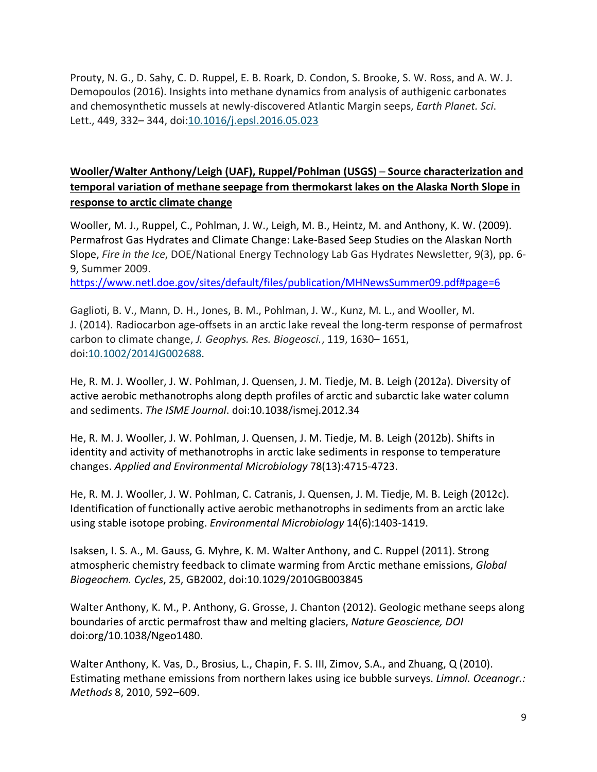Prouty, N. G., D. Sahy, C. D. Ruppel, E. B. Roark, D. Condon, S. Brooke, S. W. Ross, and A. W. J. Demopoulos (2016). Insights into methane dynamics from analysis of authigenic carbonates and chemosynthetic mussels at newly-discovered Atlantic Margin seeps, *Earth Planet. Sci*. Lett., 449, 332– 344, doi[:10.1016/j.epsl.2016.05.023](https://doi.org/10.1016/j.epsl.2016.05.023)

## **Wooller/Walter Anthony/Leigh (UAF), Ruppel/Pohlman (USGS) ─ Source characterization and temporal variation of methane seepage from thermokarst lakes on the Alaska North Slope in response to arctic climate change**

Wooller, M. J., Ruppel, C., Pohlman, J. W., Leigh, M. B., Heintz, M. and Anthony, K. W. (2009). Permafrost Gas Hydrates and Climate Change: Lake-Based Seep Studies on the Alaskan North Slope, *Fire in the Ice*, DOE/National Energy Technology Lab Gas Hydrates Newsletter, 9(3), pp. 6- 9, Summer 2009.

<https://www.netl.doe.gov/sites/default/files/publication/MHNewsSummer09.pdf#page=6>

Gaglioti, B. V., Mann, D. H., Jones, B. M., Pohlman, J. W., Kunz, M. L., and Wooller, M. J. (2014). Radiocarbon age-offsets in an arctic lake reveal the long-term response of permafrost carbon to climate change, *J. Geophys. Res. Biogeosci.*, 119, 1630– 1651, doi[:10.1002/2014JG002688.](https://doi.org/10.1002/2014JG002688)

He, R. M. J. Wooller, J. W. Pohlman, J. Quensen, J. M. Tiedje, M. B. Leigh (2012a). Diversity of active aerobic methanotrophs along depth profiles of arctic and subarctic lake water column and sediments. *The ISME Journal*. doi:10.1038/ismej.2012.34

He, R. M. J. Wooller, J. W. Pohlman, J. Quensen, J. M. Tiedje, M. B. Leigh (2012b). Shifts in identity and activity of methanotrophs in arctic lake sediments in response to temperature changes. *Applied and Environmental Microbiology* 78(13):4715-4723.

He, R. M. J. Wooller, J. W. Pohlman, C. Catranis, J. Quensen, J. M. Tiedje, M. B. Leigh (2012c). Identification of functionally active aerobic methanotrophs in sediments from an arctic lake using stable isotope probing. *Environmental Microbiology* 14(6):1403-1419.

Isaksen, I. S. A., M. Gauss, G. Myhre, K. M. Walter Anthony, and C. Ruppel (2011). Strong atmospheric chemistry feedback to climate warming from Arctic methane emissions, *Global Biogeochem. Cycles*, 25, GB2002, doi:10.1029/2010GB003845

Walter Anthony, K. M., P. Anthony, G. Grosse, J. Chanton (2012). Geologic methane seeps along boundaries of arctic permafrost thaw and melting glaciers, *Nature Geoscience, DOI*  doi:org/10.1038/Ngeo1480.

Walter Anthony, K. Vas, D., Brosius, L., Chapin, F. S. III, Zimov, S.A., and Zhuang, Q (2010). Estimating methane emissions from northern lakes using ice bubble surveys. *Limnol. Oceanogr.: Methods* 8, 2010, 592–609.